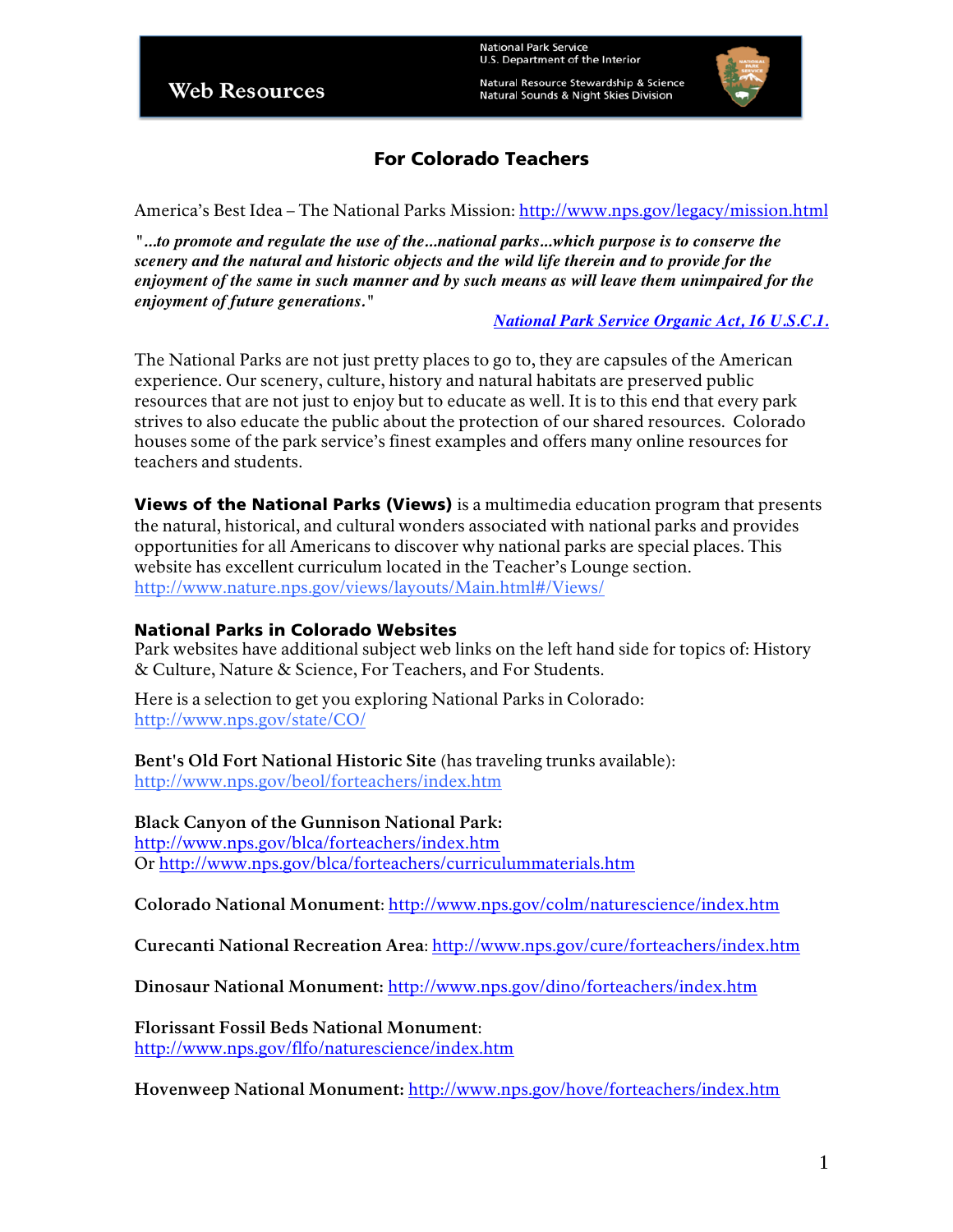Natural Resource Stewardship & Science Natural Sounds & Night Skies Division



# For Colorado Teachers

America's Best Idea – The National Parks Mission: http://www.nps.gov/legacy/mission.html

*"...to promote and regulate the use of the...national parks...which purpose is to conserve the scenery and the natural and historic objects and the wild life therein and to provide for the enjoyment of the same in such manner and by such means as will leave them unimpaired for the enjoyment of future generations."* 

*National Park Service Organic Act, 16 U.S.C.1.*

The National Parks are not just pretty places to go to, they are capsules of the American experience. Our scenery, culture, history and natural habitats are preserved public resources that are not just to enjoy but to educate as well. It is to this end that every park strives to also educate the public about the protection of our shared resources. Colorado houses some of the park service's finest examples and offers many online resources for teachers and students.

Views of the National Parks (Views) is a multimedia education program that presents the natural, historical, and cultural wonders associated with national parks and provides opportunities for all Americans to discover why national parks are special places. This website has excellent curriculum located in the Teacher's Lounge section. http://www.nature.nps.gov/views/layouts/Main.html#/Views/

#### National Parks in Colorado Websites

Park websites have additional subject web links on the left hand side for topics of: History & Culture, Nature & Science, For Teachers, and For Students.

Here is a selection to get you exploring National Parks in Colorado: http://www.nps.gov/state/CO/

**Bent's Old Fort National Historic Site** (has traveling trunks available): http://www.nps.gov/beol/forteachers/index.htm

#### **Black Canyon of the Gunnison National Park:**

http://www.nps.gov/blca/forteachers/index.htm Or http://www.nps.gov/blca/forteachers/curriculummaterials.htm

**Colorado National Monument**: http://www.nps.gov/colm/naturescience/index.htm

**Curecanti National Recreation Area**: http://www.nps.gov/cure/forteachers/index.htm

**Dinosaur National Monument:** http://www.nps.gov/dino/forteachers/index.htm

**Florissant Fossil Beds National Monument**: http://www.nps.gov/flfo/naturescience/index.htm

**Hovenweep National Monument:** http://www.nps.gov/hove/forteachers/index.htm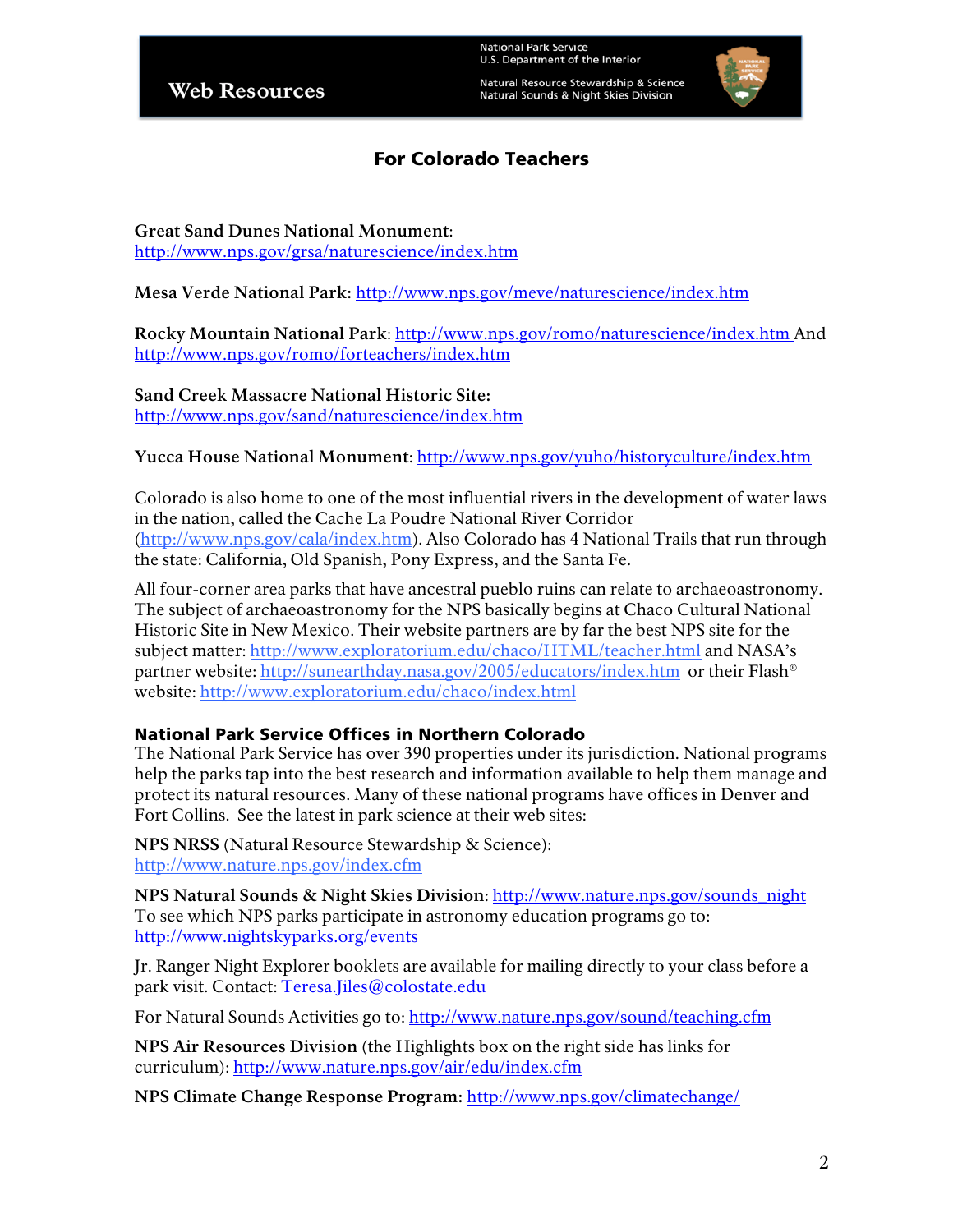Natural Resource Stewardship & Science Natural Sounds & Night Skies Division



### For Colorado Teachers

**Great Sand Dunes National Monument**: http://www.nps.gov/grsa/naturescience/index.htm

**Mesa Verde National Park:** http://www.nps.gov/meve/naturescience/index.htm

**Rocky Mountain National Park**: http://www.nps.gov/romo/naturescience/index.htm And http://www.nps.gov/romo/forteachers/index.htm

**Sand Creek Massacre National Historic Site:**  http://www.nps.gov/sand/naturescience/index.htm

#### **Yucca House National Monument**: http://www.nps.gov/yuho/historyculture/index.htm

Colorado is also home to one of the most influential rivers in the development of water laws in the nation, called the Cache La Poudre National River Corridor (http://www.nps.gov/cala/index.htm). Also Colorado has 4 National Trails that run through the state: California, Old Spanish, Pony Express, and the Santa Fe.

All four-corner area parks that have ancestral pueblo ruins can relate to archaeoastronomy. The subject of archaeoastronomy for the NPS basically begins at Chaco Cultural National Historic Site in New Mexico. Their website partners are by far the best NPS site for the subject matter: http://www.exploratorium.edu/chaco/HTML/teacher.html and NASA's partner website: http://sunearthday.nasa.gov/2005/educators/index.htm or their Flash® website: http://www.exploratorium.edu/chaco/index.html

#### National Park Service Offices in Northern Colorado

The National Park Service has over 390 properties under its jurisdiction. National programs help the parks tap into the best research and information available to help them manage and protect its natural resources. Many of these national programs have offices in Denver and Fort Collins. See the latest in park science at their web sites:

**NPS NRSS** (Natural Resource Stewardship & Science): http://www.nature.nps.gov/index.cfm

**NPS Natural Sounds & Night Skies Division**: http://www.nature.nps.gov/sounds\_night To see which NPS parks participate in astronomy education programs go to: http://www.nightskyparks.org/events

Jr. Ranger Night Explorer booklets are available for mailing directly to your class before a park visit. Contact: Teresa.Jiles@colostate.edu

For Natural Sounds Activities go to: http://www.nature.nps.gov/sound/teaching.cfm

**NPS Air Resources Division** (the Highlights box on the right side has links for curriculum): http://www.nature.nps.gov/air/edu/index.cfm

**NPS Climate Change Response Program:** http://www.nps.gov/climatechange/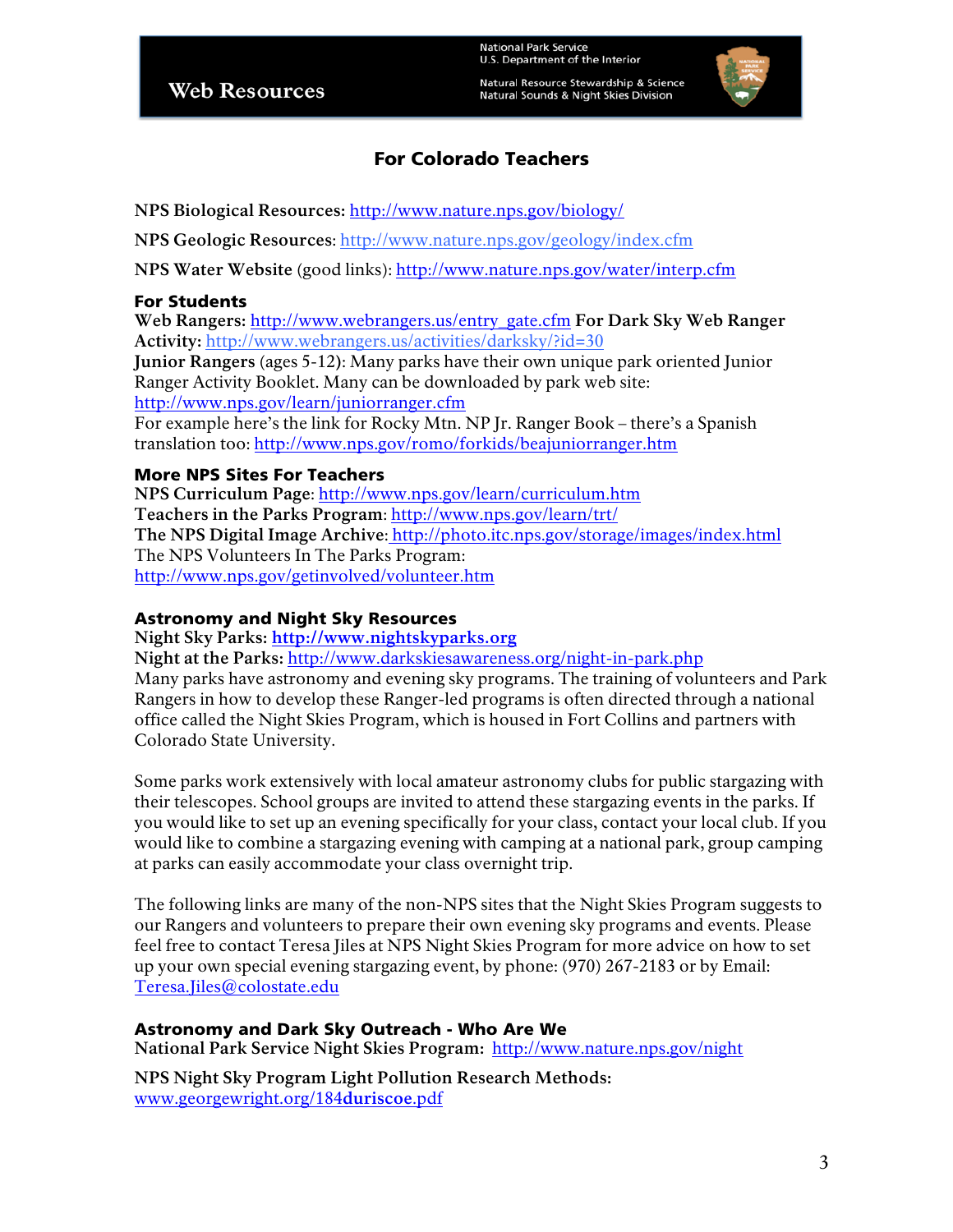Natural Resource Stewardship & Science Natural Sounds & Night Skies Division



# For Colorado Teachers

**NPS Biological Resources:** http://www.nature.nps.gov/biology/

**NPS Geologic Resources**: http://www.nature.nps.gov/geology/index.cfm

**NPS Water Website** (good links): http://www.nature.nps.gov/water/interp.cfm

#### For Students

**Web Rangers:** http://www.webrangers.us/entry\_gate.cfm **For Dark Sky Web Ranger Activity:** http://www.webrangers.us/activities/darksky/?id=30

**Junior Rangers** (ages 5-12**)**: Many parks have their own unique park oriented Junior Ranger Activity Booklet. Many can be downloaded by park web site: http://www.nps.gov/learn/juniorranger.cfm

For example here's the link for Rocky Mtn. NP Jr. Ranger Book – there's a Spanish translation too: http://www.nps.gov/romo/forkids/beajuniorranger.htm

### More NPS Sites For Teachers

**NPS Curriculum Page**: http://www.nps.gov/learn/curriculum.htm **Teachers in the Parks Program**: http://www.nps.gov/learn/trt/ **The NPS Digital Image Archive**: http://photo.itc.nps.gov/storage/images/index.html The NPS Volunteers In The Parks Program: http://www.nps.gov/getinvolved/volunteer.htm

#### Astronomy and Night Sky Resources

**Night Sky Parks: http://www.nightskyparks.org**

**Night at the Parks:** http://www.darkskiesawareness.org/night-in-park.php Many parks have astronomy and evening sky programs. The training of volunteers and Park Rangers in how to develop these Ranger-led programs is often directed through a national office called the Night Skies Program, which is housed in Fort Collins and partners with Colorado State University.

Some parks work extensively with local amateur astronomy clubs for public stargazing with their telescopes. School groups are invited to attend these stargazing events in the parks. If you would like to set up an evening specifically for your class, contact your local club. If you would like to combine a stargazing evening with camping at a national park, group camping at parks can easily accommodate your class overnight trip.

The following links are many of the non-NPS sites that the Night Skies Program suggests to our Rangers and volunteers to prepare their own evening sky programs and events. Please feel free to contact Teresa Jiles at NPS Night Skies Program for more advice on how to set up your own special evening stargazing event, by phone: (970) 267-2183 or by Email: Teresa.Jiles@colostate.edu

### Astronomy and Dark Sky Outreach - Who Are We

**National Park Service Night Skies Program:** http://www.nature.nps.gov/night

**NPS Night Sky Program Light Pollution Research Methods:** www.georgewright.org/184**duriscoe**.pdf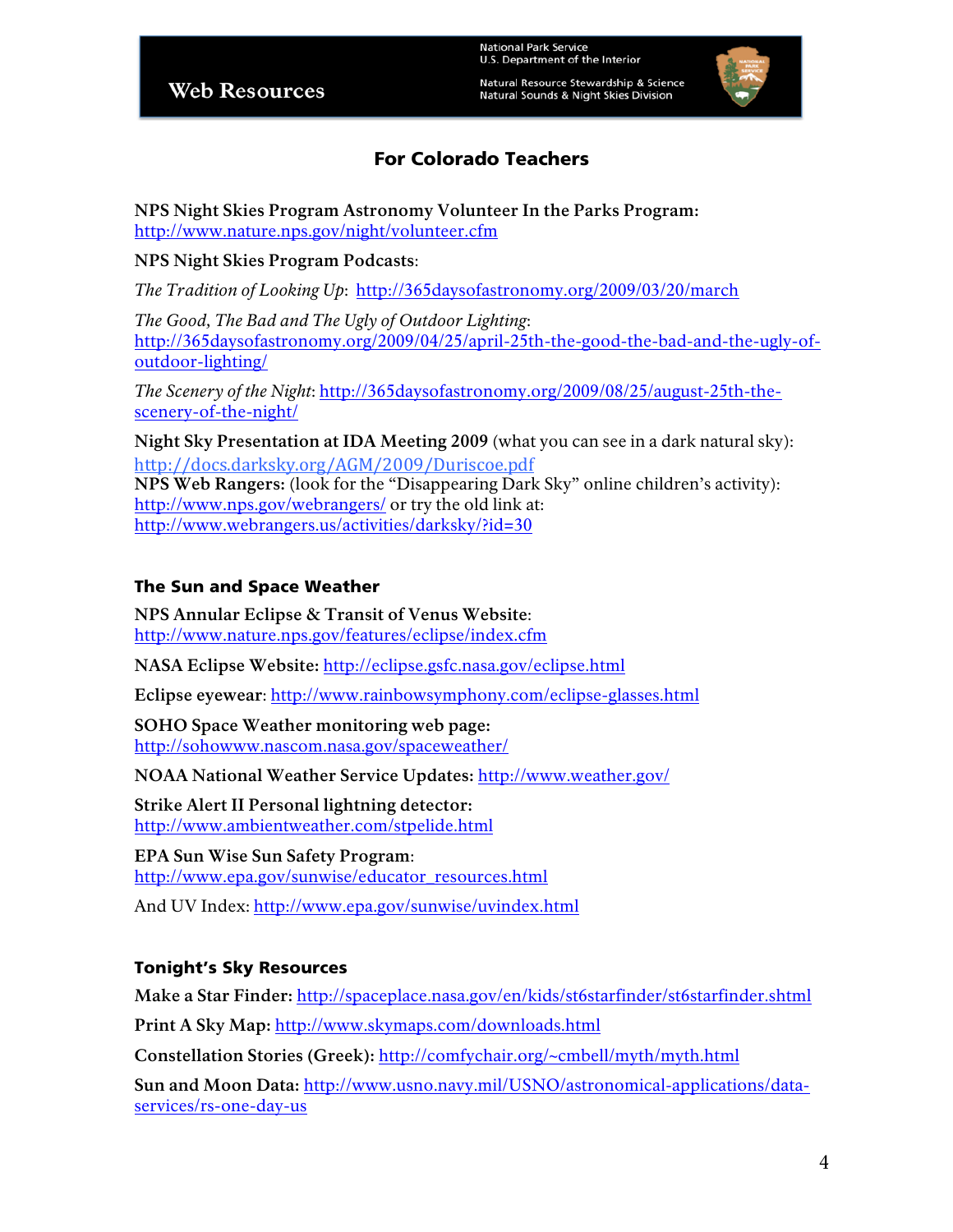Natural Resource Stewardship & Science Natural Sounds & Night Skies Division



# For Colorado Teachers

**NPS Night Skies Program Astronomy Volunteer In the Parks Program:** http://www.nature.nps.gov/night/volunteer.cfm

#### **NPS Night Skies Program Podcasts**:

*The Tradition of Looking Up*: http://365daysofastronomy.org/2009/03/20/march

*The Good, The Bad and The Ugly of Outdoor Lighting*: http://365daysofastronomy.org/2009/04/25/april-25th-the-good-the-bad-and-the-ugly-ofoutdoor-lighting/

*The Scenery of the Night*: http://365daysofastronomy.org/2009/08/25/august-25th-thescenery-of-the-night/

**Night Sky Presentation at IDA Meeting 2009** (what you can see in a dark natural sky): http://docs.darksky.org/AGM/2009/Duriscoe.pdf **NPS Web Rangers:** (look for the "Disappearing Dark Sky" online children's activity): http://www.nps.gov/webrangers/ or try the old link at: http://www.webrangers.us/activities/darksky/?id=30

### The Sun and Space Weather

**NPS Annular Eclipse & Transit of Venus Website**: http://www.nature.nps.gov/features/eclipse/index.cfm

**NASA Eclipse Website:** http://eclipse.gsfc.nasa.gov/eclipse.html

**Eclipse eyewear**: http://www.rainbowsymphony.com/eclipse-glasses.html

**SOHO Space Weather monitoring web page:**  http://sohowww.nascom.nasa.gov/spaceweather/

**NOAA National Weather Service Updates:** http://www.weather.gov/

**Strike Alert II Personal lightning detector:**  http://www.ambientweather.com/stpelide.html

**EPA Sun Wise Sun Safety Program**: http://www.epa.gov/sunwise/educator\_resources.html

And UV Index: http://www.epa.gov/sunwise/uvindex.html

### Tonight's Sky Resources

**Make a Star Finder:** http://spaceplace.nasa.gov/en/kids/st6starfinder/st6starfinder.shtml

**Print A Sky Map:** http://www.skymaps.com/downloads.html

**Constellation Stories (Greek):** http://comfychair.org/~cmbell/myth/myth.html

**Sun and Moon Data:** http://www.usno.navy.mil/USNO/astronomical-applications/dataservices/rs-one-day-us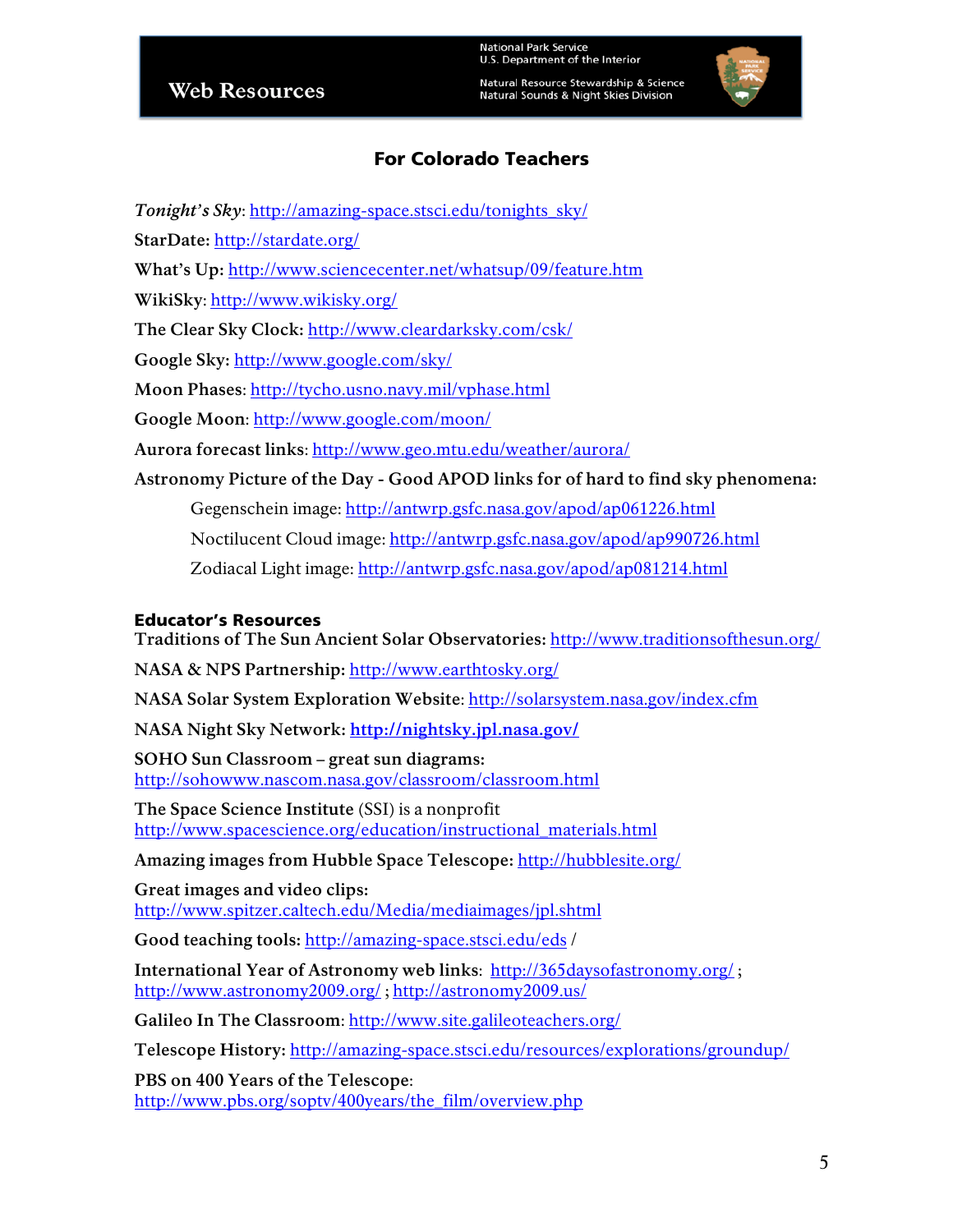Natural Resource Stewardship & Science Natural Sounds & Night Skies Division



## For Colorado Teachers

- *Tonight's Sky*: http://amazing-space.stsci.edu/tonights\_sky/
- **StarDate:** http://stardate.org/
- **What's Up:** http://www.sciencecenter.net/whatsup/09/feature.htm

**WikiSky**: http://www.wikisky.org/

**The Clear Sky Clock:** http://www.cleardarksky.com/csk/

**Google Sky:** http://www.google.com/sky/

**Moon Phases**: http://tycho.usno.navy.mil/vphase.html

**Google Moon**: http://www.google.com/moon/

**Aurora forecast links**: http://www.geo.mtu.edu/weather/aurora/

**Astronomy Picture of the Day - Good APOD links for of hard to find sky phenomena:** 

Gegenschein image: http://antwrp.gsfc.nasa.gov/apod/ap061226.html

Noctilucent Cloud image: http://antwrp.gsfc.nasa.gov/apod/ap990726.html

Zodiacal Light image: http://antwrp.gsfc.nasa.gov/apod/ap081214.html

#### Educator's Resources

**Traditions of The Sun Ancient Solar Observatories:** http://www.traditionsofthesun.org/

**NASA & NPS Partnership:** http://www.earthtosky.org/

**NASA Solar System Exploration Website**: http://solarsystem.nasa.gov/index.cfm

**NASA Night Sky Network: http://nightsky.jpl.nasa.gov/**

**SOHO Sun Classroom – great sun diagrams:**  http://sohowww.nascom.nasa.gov/classroom/classroom.html

**The Space Science Institute** (SSI) is a nonprofit http://www.spacescience.org/education/instructional\_materials.html

**Amazing images from Hubble Space Telescope:** http://hubblesite.org/

**Great images and video clips:** http://www.spitzer.caltech.edu/Media/mediaimages/jpl.shtml

**Good teaching tools:** http://amazing-space.stsci.edu/eds /

**International Year of Astronomy web links**: http://365daysofastronomy.org/ ; http://www.astronomy2009.org/ ; http://astronomy2009.us/

**Galileo In The Classroom**: http://www.site.galileoteachers.org/

**Telescope History:** http://amazing-space.stsci.edu/resources/explorations/groundup/

**PBS on 400 Years of the Telescope**: http://www.pbs.org/soptv/400years/the\_film/overview.php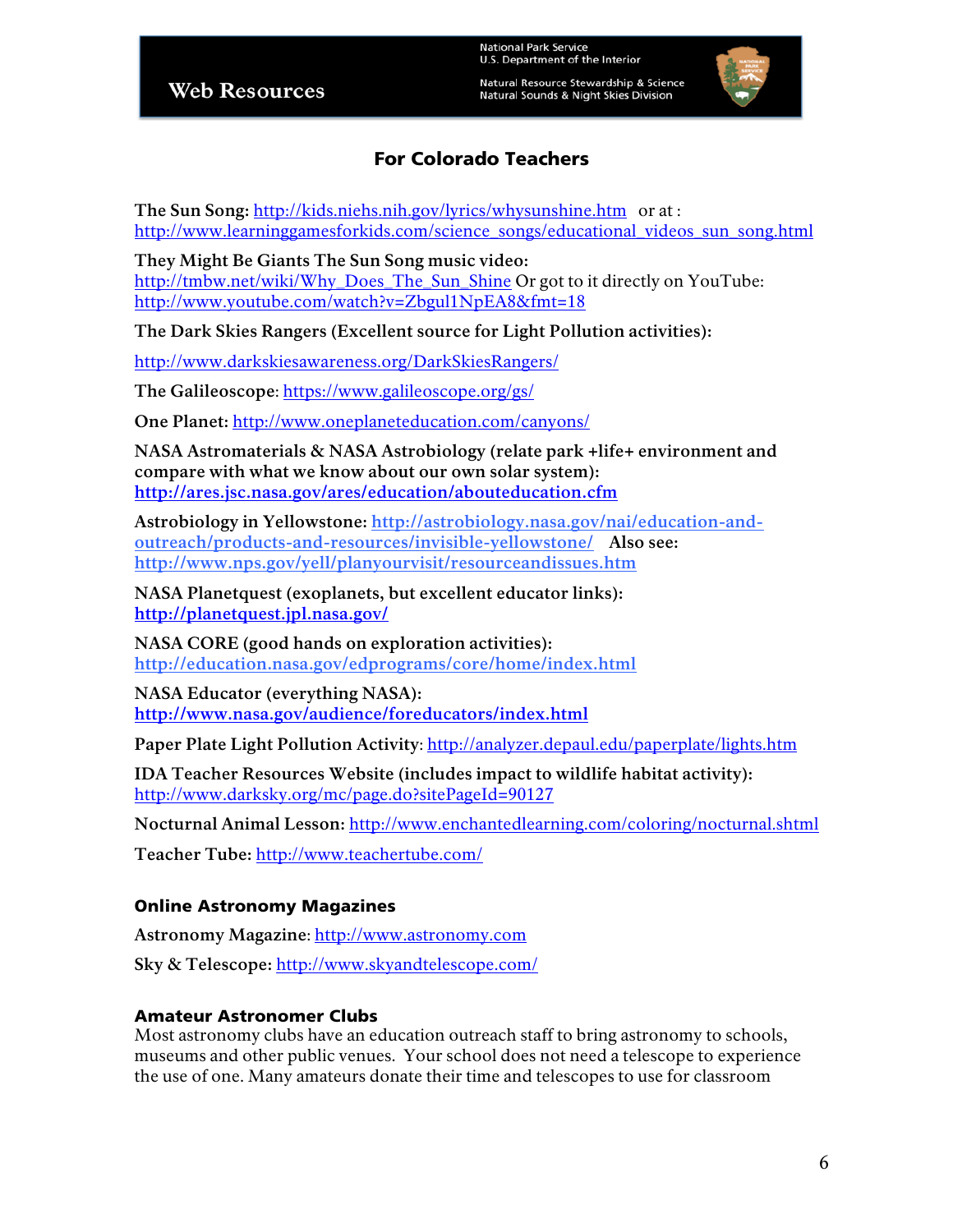Natural Resource Stewardship & Science **Natural Sounds & Night Skies Division** 



# For Colorado Teachers

**The Sun Song:** http://kids.niehs.nih.gov/lyrics/whysunshine.htm or at : http://www.learninggamesforkids.com/science\_songs/educational\_videos\_sun\_song.html

**They Might Be Giants The Sun Song music video:** http://tmbw.net/wiki/Why\_Does\_The\_Sun\_Shine Or got to it directly on YouTube: http://www.youtube.com/watch?v=Zbgul1NpEA8&fmt=18

**The Dark Skies Rangers (Excellent source for Light Pollution activities):**

http://www.darkskiesawareness.org/DarkSkiesRangers/

**The Galileoscope**: https://www.galileoscope.org/gs/

**One Planet:** http://www.oneplaneteducation.com/canyons/

**NASA Astromaterials & NASA Astrobiology (relate park +life+ environment and compare with what we know about our own solar system): http://ares.jsc.nasa.gov/ares/education/abouteducation.cfm**

**Astrobiology in Yellowstone: http://astrobiology.nasa.gov/nai/education-andoutreach/products-and-resources/invisible-yellowstone/ Also see: http://www.nps.gov/yell/planyourvisit/resourceandissues.htm**

**NASA Planetquest (exoplanets, but excellent educator links): http://planetquest.jpl.nasa.gov/**

**NASA CORE (good hands on exploration activities): http://education.nasa.gov/edprograms/core/home/index.html** 

**NASA Educator (everything NASA): http://www.nasa.gov/audience/foreducators/index.html**

Paper Plate Light Pollution Activity: http://analyzer.depaul.edu/paperplate/lights.htm

**IDA Teacher Resources Website (includes impact to wildlife habitat activity):** http://www.darksky.org/mc/page.do?sitePageId=90127

**Nocturnal Animal Lesson:** http://www.enchantedlearning.com/coloring/nocturnal.shtml

**Teacher Tube:** http://www.teachertube.com/

#### Online Astronomy Magazines

**Astronomy Magazine**: http://www.astronomy.com

**Sky & Telescope:** http://www.skyandtelescope.com/

#### Amateur Astronomer Clubs

Most astronomy clubs have an education outreach staff to bring astronomy to schools, museums and other public venues. Your school does not need a telescope to experience the use of one. Many amateurs donate their time and telescopes to use for classroom